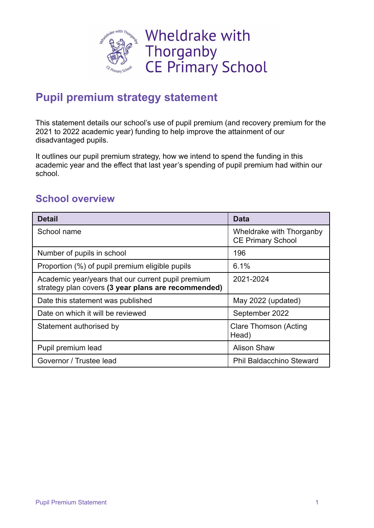

## **Pupil premium strategy statement**

This statement details our school's use of pupil premium (and recovery premium for the 2021 to 2022 academic year) funding to help improve the attainment of our disadvantaged pupils.

It outlines our pupil premium strategy, how we intend to spend the funding in this academic year and the effect that last year's spending of pupil premium had within our school.

## **School overview**

| <b>Detail</b>                                                                                             | Data                                                 |
|-----------------------------------------------------------------------------------------------------------|------------------------------------------------------|
| School name                                                                                               | Wheldrake with Thorganby<br><b>CE Primary School</b> |
| Number of pupils in school                                                                                | 196                                                  |
| Proportion (%) of pupil premium eligible pupils                                                           | 6.1%                                                 |
| Academic year/years that our current pupil premium<br>strategy plan covers (3 year plans are recommended) | 2021-2024                                            |
| Date this statement was published                                                                         | May 2022 (updated)                                   |
| Date on which it will be reviewed                                                                         | September 2022                                       |
| Statement authorised by                                                                                   | <b>Clare Thomson (Acting</b><br>Head)                |
| Pupil premium lead                                                                                        | <b>Alison Shaw</b>                                   |
| Governor / Trustee lead                                                                                   | <b>Phil Baldacchino Steward</b>                      |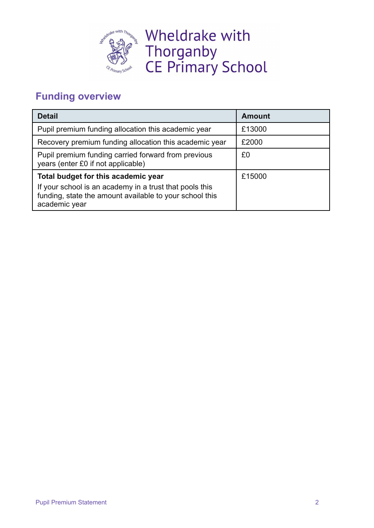

## **Funding overview**

| <b>Detail</b>                                                                                                                       | <b>Amount</b> |
|-------------------------------------------------------------------------------------------------------------------------------------|---------------|
| Pupil premium funding allocation this academic year                                                                                 | £13000        |
| Recovery premium funding allocation this academic year                                                                              | £2000         |
| Pupil premium funding carried forward from previous<br>years (enter £0 if not applicable)                                           | £0            |
| Total budget for this academic year                                                                                                 | £15000        |
| If your school is an academy in a trust that pools this<br>funding, state the amount available to your school this<br>academic year |               |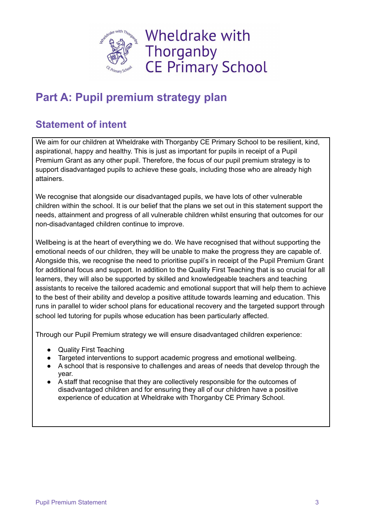

## **Part A: Pupil premium strategy plan**

## **Statement of intent**

We aim for our children at Wheldrake with Thorganby CE Primary School to be resilient, kind, aspirational, happy and healthy. This is just as important for pupils in receipt of a Pupil Premium Grant as any other pupil. Therefore, the focus of our pupil premium strategy is to support disadvantaged pupils to achieve these goals, including those who are already high attainers.

We recognise that alongside our disadvantaged pupils, we have lots of other vulnerable children within the school. It is our belief that the plans we set out in this statement support the needs, attainment and progress of all vulnerable children whilst ensuring that outcomes for our non-disadvantaged children continue to improve.

Wellbeing is at the heart of everything we do. We have recognised that without supporting the emotional needs of our children, they will be unable to make the progress they are capable of. Alongside this, we recognise the need to prioritise pupil's in receipt of the Pupil Premium Grant for additional focus and support. In addition to the Quality First Teaching that is so crucial for all learners, they will also be supported by skilled and knowledgeable teachers and teaching assistants to receive the tailored academic and emotional support that will help them to achieve to the best of their ability and develop a positive attitude towards learning and education. This runs in parallel to wider school plans for educational recovery and the targeted support through school led tutoring for pupils whose education has been particularly affected.

Through our Pupil Premium strategy we will ensure disadvantaged children experience:

- Quality First Teaching
- Targeted interventions to support academic progress and emotional wellbeing.
- A school that is responsive to challenges and areas of needs that develop through the year.
- A staff that recognise that they are collectively responsible for the outcomes of disadvantaged children and for ensuring they all of our children have a positive experience of education at Wheldrake with Thorganby CE Primary School.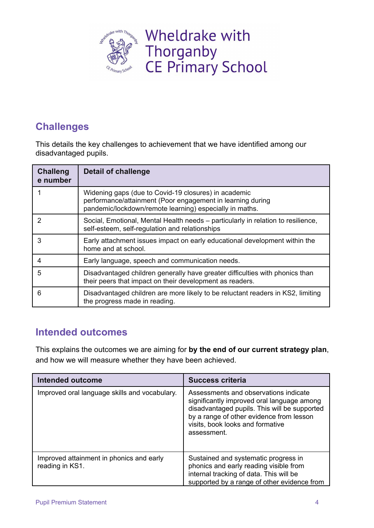

## **Challenges**

This details the key challenges to achievement that we have identified among our disadvantaged pupils.

| <b>Challeng</b><br>e number | <b>Detail of challenge</b>                                                                                                                                                    |
|-----------------------------|-------------------------------------------------------------------------------------------------------------------------------------------------------------------------------|
|                             | Widening gaps (due to Covid-19 closures) in academic<br>performance/attainment (Poor engagement in learning during<br>pandemic/lockdown/remote learning) especially in maths. |
|                             | Social, Emotional, Mental Health needs – particularly in relation to resilience,<br>self-esteem, self-regulation and relationships                                            |
| 3                           | Early attachment issues impact on early educational development within the<br>home and at school.                                                                             |
| 4                           | Early language, speech and communication needs.                                                                                                                               |
| 5                           | Disadvantaged children generally have greater difficulties with phonics than<br>their peers that impact on their development as readers.                                      |
| 6                           | Disadvantaged children are more likely to be reluctant readers in KS2, limiting<br>the progress made in reading.                                                              |

## **Intended outcomes**

This explains the outcomes we are aiming for **by the end of our current strategy plan**, and how we will measure whether they have been achieved.

| Intended outcome                                            | <b>Success criteria</b>                                                                                                                                                                                                            |
|-------------------------------------------------------------|------------------------------------------------------------------------------------------------------------------------------------------------------------------------------------------------------------------------------------|
| Improved oral language skills and vocabulary.               | Assessments and observations indicate<br>significantly improved oral language among<br>disadvantaged pupils. This will be supported<br>by a range of other evidence from lesson<br>visits, book looks and formative<br>assessment. |
| Improved attainment in phonics and early<br>reading in KS1. | Sustained and systematic progress in<br>phonics and early reading visible from<br>internal tracking of data. This will be<br>supported by a range of other evidence from                                                           |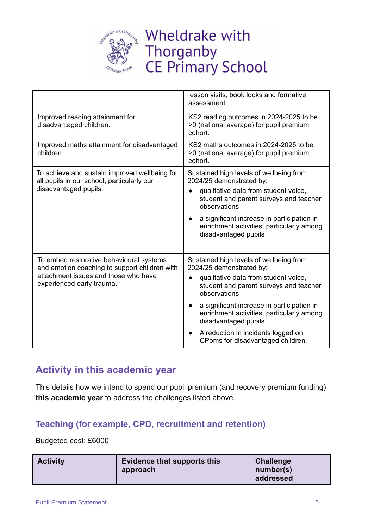

# Wheldrake with Thorganby<br>CE Primary School

|                                                                                                                                                                | lesson visits, book looks and formative<br>assessment.                                                                                                                                                                                                                                                                                                              |  |
|----------------------------------------------------------------------------------------------------------------------------------------------------------------|---------------------------------------------------------------------------------------------------------------------------------------------------------------------------------------------------------------------------------------------------------------------------------------------------------------------------------------------------------------------|--|
| Improved reading attainment for<br>disadvantaged children.                                                                                                     | KS2 reading outcomes in 2024-2025 to be<br>>0 (national average) for pupil premium<br>cohort.                                                                                                                                                                                                                                                                       |  |
| Improved maths attainment for disadvantaged<br>children.                                                                                                       | KS2 maths outcomes in 2024-2025 to be<br>>0 (national average) for pupil premium<br>cohort.                                                                                                                                                                                                                                                                         |  |
| To achieve and sustain improved wellbeing for<br>all pupils in our school, particularly our<br>disadvantaged pupils.                                           | Sustained high levels of wellbeing from<br>2024/25 demonstrated by:<br>qualitative data from student voice,<br>student and parent surveys and teacher<br>observations<br>a significant increase in participation in<br>enrichment activities, particularly among<br>disadvantaged pupils                                                                            |  |
| To embed restorative behavioural systems<br>and emotion coaching to support children with<br>attachment issues and those who have<br>experienced early trauma. | Sustained high levels of wellbeing from<br>2024/25 demonstrated by:<br>qualitative data from student voice,<br>student and parent surveys and teacher<br>observations<br>a significant increase in participation in<br>enrichment activities, particularly among<br>disadvantaged pupils<br>A reduction in incidents logged on<br>CPoms for disadvantaged children. |  |

## **Activity in this academic year**

This details how we intend to spend our pupil premium (and recovery premium funding) **this academic year** to address the challenges listed above.

#### **Teaching (for example, CPD, recruitment and retention)**

Budgeted cost: £6000

| <b>Activity</b> | <b>Evidence that supports this</b><br>approach | <b>Challenge</b><br>number(s) |
|-----------------|------------------------------------------------|-------------------------------|
|                 |                                                | addressed                     |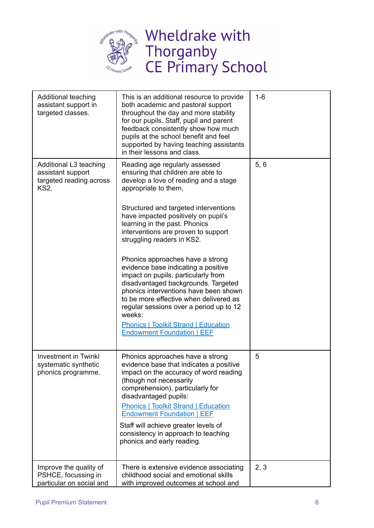

| Additional teaching<br>assistant support in<br>targeted classes.               | This is an additional resource to provide<br>both academic and pastoral support<br>throughout the day and more stability<br>for our pupils. Staff, pupil and parent<br>feedback consistently show how much<br>pupils at the school benefit and feel<br>supported by having teaching assistants<br>in their lessons and class.                                                                                                                                                                                                                                                                                                                                                                                    | $1 - 6$ |
|--------------------------------------------------------------------------------|------------------------------------------------------------------------------------------------------------------------------------------------------------------------------------------------------------------------------------------------------------------------------------------------------------------------------------------------------------------------------------------------------------------------------------------------------------------------------------------------------------------------------------------------------------------------------------------------------------------------------------------------------------------------------------------------------------------|---------|
| Additional L3 teaching<br>assistant support<br>targeted reading across<br>KS2. | Reading age regularly assessed<br>ensuring that children are able to<br>develop a love of reading and a stage<br>appropriate to them,<br>Structured and targeted interventions<br>have impacted positively on pupil's<br>learning in the past. Phonics<br>interventions are proven to support<br>struggling readers in KS2.<br>Phonics approaches have a strong<br>evidence base indicating a positive<br>impact on pupils, particularly from<br>disadvantaged backgrounds. Targeted<br>phonics interventions have been shown<br>to be more effective when delivered as<br>regular sessions over a period up to 12<br>weeks:<br><b>Phonics   Toolkit Strand   Education</b><br><b>Endowment Foundation   EEF</b> | 5, 6    |
| <b>Investment in Twinkl</b><br>systematic synthetic<br>phonics programme.      | Phonics approaches have a strong<br>evidence base that indicates a positive<br>impact on the accuracy of word reading<br>(though not necessarily<br>comprehension), particularly for<br>disadvantaged pupils:<br><b>Phonics   Toolkit Strand   Education</b><br><b>Endowment Foundation   EEF</b><br>Staff will achieve greater levels of<br>consistency in approach to teaching<br>phonics and early reading.                                                                                                                                                                                                                                                                                                   | 5       |
| Improve the quality of<br>PSHCE, focussing in<br>particular on social and      | There is extensive evidence associating<br>childhood social and emotional skills<br>with improved outcomes at school and                                                                                                                                                                                                                                                                                                                                                                                                                                                                                                                                                                                         | 2, 3    |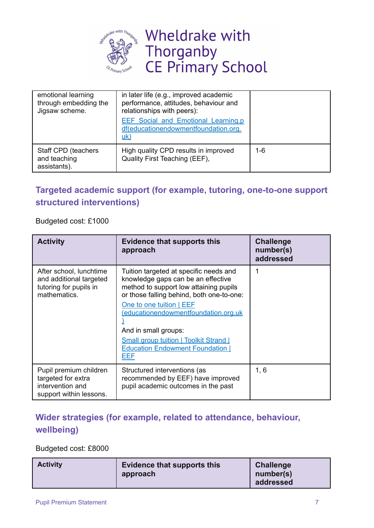

| emotional learning<br>through embedding the<br>Jigsaw scheme. | in later life (e.g., improved academic<br>performance, attitudes, behaviour and<br>relationships with peers):<br><b>EEF Social and Emotional Learning.p</b><br>df(educationendowmentfoundation.org.<br>uk) |         |
|---------------------------------------------------------------|------------------------------------------------------------------------------------------------------------------------------------------------------------------------------------------------------------|---------|
| Staff CPD (teachers<br>and teaching<br>assistants).           | High quality CPD results in improved<br>Quality First Teaching (EEF),                                                                                                                                      | $1 - 6$ |

## **Targeted academic support (for example, tutoring, one-to-one support structured interventions)**

Budgeted cost: £1000

| <b>Activity</b>                                                                              | <b>Evidence that supports this</b><br>approach                                                                                                                                                                                                                                                                                                                    | <b>Challenge</b><br>number(s)<br>addressed |
|----------------------------------------------------------------------------------------------|-------------------------------------------------------------------------------------------------------------------------------------------------------------------------------------------------------------------------------------------------------------------------------------------------------------------------------------------------------------------|--------------------------------------------|
| After school, lunchtime<br>and additional targeted<br>tutoring for pupils in<br>mathematics. | Tuition targeted at specific needs and<br>knowledge gaps can be an effective<br>method to support low attaining pupils<br>or those falling behind, both one-to-one:<br>One to one tuition   EEF<br>educationendowmentfoundation.org.uk<br>And in small groups:<br><b>Small group tuition   Toolkit Strand  </b><br><b>Education Endowment Foundation  </b><br>EEF | 1                                          |
| Pupil premium children<br>targeted for extra<br>intervention and<br>support within lessons.  | Structured interventions (as<br>recommended by EEF) have improved<br>pupil academic outcomes in the past                                                                                                                                                                                                                                                          | 1, 6                                       |

#### **Wider strategies (for example, related to attendance, behaviour, wellbeing)**

Budgeted cost: £8000

| <b>Activity</b> | Evidence that supports this<br>approach | <b>Challenge</b><br>number(s)<br>addressed |
|-----------------|-----------------------------------------|--------------------------------------------|
|-----------------|-----------------------------------------|--------------------------------------------|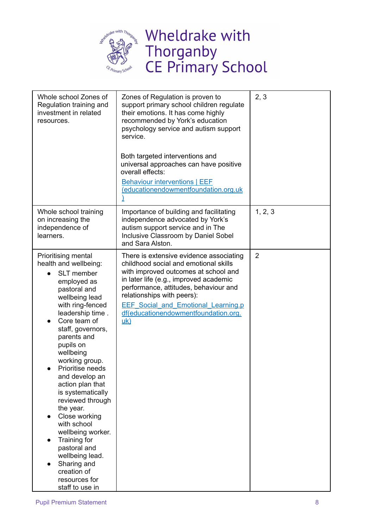

| Whole school Zones of<br>Regulation training and<br>investment in related<br>resources.                                                                                                                                                                                                                                                                                                                                                                                                                                                       | Zones of Regulation is proven to<br>support primary school children regulate<br>their emotions. It has come highly<br>recommended by York's education<br>psychology service and autism support<br>service.<br>Both targeted interventions and<br>universal approaches can have positive<br>overall effects:<br><b>Behaviour interventions   EEF</b><br>(educationendowmentfoundation.org.uk | 2, 3           |
|-----------------------------------------------------------------------------------------------------------------------------------------------------------------------------------------------------------------------------------------------------------------------------------------------------------------------------------------------------------------------------------------------------------------------------------------------------------------------------------------------------------------------------------------------|---------------------------------------------------------------------------------------------------------------------------------------------------------------------------------------------------------------------------------------------------------------------------------------------------------------------------------------------------------------------------------------------|----------------|
| Whole school training<br>on increasing the<br>independence of<br>learners.                                                                                                                                                                                                                                                                                                                                                                                                                                                                    | Importance of building and facilitating<br>independence advocated by York's<br>autism support service and in The<br>Inclusive Classroom by Daniel Sobel<br>and Sara Alston.                                                                                                                                                                                                                 | 1, 2, 3        |
| Prioritising mental<br>health and wellbeing:<br>SLT member<br>employed as<br>pastoral and<br>wellbeing lead<br>with ring-fenced<br>leadership time.<br>Core team of<br>staff, governors,<br>parents and<br>pupils on<br>wellbeing<br>working group.<br>Prioritise needs<br>and develop an<br>action plan that<br>is systematically<br>reviewed through<br>the year.<br>Close working<br>with school<br>wellbeing worker.<br>Training for<br>pastoral and<br>wellbeing lead.<br>Sharing and<br>creation of<br>resources for<br>staff to use in | There is extensive evidence associating<br>childhood social and emotional skills<br>with improved outcomes at school and<br>in later life (e.g., improved academic<br>performance, attitudes, behaviour and<br>relationships with peers):<br><b>EEF Social and Emotional Learning.p</b><br>df(educationendowmentfoundation.org.<br>$\underline{uk}$                                         | $\overline{2}$ |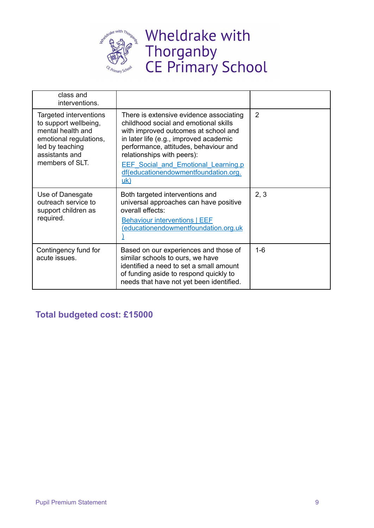

Wheldrake with<br>Thorganby<br>CE Primary School

| class and<br>interventions.                                                                                                                            |                                                                                                                                                                                                                                                                                                                                               |                |
|--------------------------------------------------------------------------------------------------------------------------------------------------------|-----------------------------------------------------------------------------------------------------------------------------------------------------------------------------------------------------------------------------------------------------------------------------------------------------------------------------------------------|----------------|
| Targeted interventions<br>to support wellbeing,<br>mental health and<br>emotional regulations,<br>led by teaching<br>assistants and<br>members of SLT. | There is extensive evidence associating<br>childhood social and emotional skills<br>with improved outcomes at school and<br>in later life (e.g., improved academic<br>performance, attitudes, behaviour and<br>relationships with peers):<br><b>EEF Social and Emotional Learning.p</b><br>df(educationendowmentfoundation.org.<br><u>uk)</u> | $\overline{2}$ |
| Use of Danesgate<br>outreach service to<br>support children as<br>required.                                                                            | Both targeted interventions and<br>universal approaches can have positive<br>overall effects:<br><b>Behaviour interventions   EEF</b><br>educationendowmentfoundation.org.uk                                                                                                                                                                  | 2, 3           |
| Contingency fund for<br>acute issues.                                                                                                                  | Based on our experiences and those of<br>similar schools to ours, we have<br>identified a need to set a small amount<br>of funding aside to respond quickly to<br>needs that have not yet been identified.                                                                                                                                    | $1 - 6$        |

## **Total budgeted cost: £15000**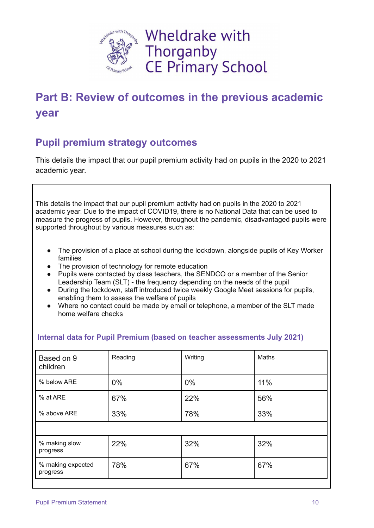

# **Part B: Review of outcomes in the previous academic year**

## **Pupil premium strategy outcomes**

This details the impact that our pupil premium activity had on pupils in the 2020 to 2021 academic year.

This details the impact that our pupil premium activity had on pupils in the 2020 to 2021 academic year. Due to the impact of COVID19, there is no National Data that can be used to measure the progress of pupils. However, throughout the pandemic, disadvantaged pupils were supported throughout by various measures such as:

- The provision of a place at school during the lockdown, alongside pupils of Key Worker families
- The provision of technology for remote education
- Pupils were contacted by class teachers, the SENDCO or a member of the Senior Leadership Team (SLT) - the frequency depending on the needs of the pupil
- During the lockdown, staff introduced twice weekly Google Meet sessions for pupils, enabling them to assess the welfare of pupils
- Where no contact could be made by email or telephone, a member of the SLT made home welfare checks

#### **Internal data for Pupil Premium (based on teacher assessments July 2021)**

| Based on 9<br>children        | Reading | Writing | Maths |
|-------------------------------|---------|---------|-------|
| % below ARE                   | $0\%$   | 0%      | 11%   |
| % at ARE                      | 67%     | 22%     | 56%   |
| % above ARE                   | 33%     | 78%     | 33%   |
|                               |         |         |       |
| % making slow<br>progress     | 22%     | 32%     | 32%   |
| % making expected<br>progress | 78%     | 67%     | 67%   |